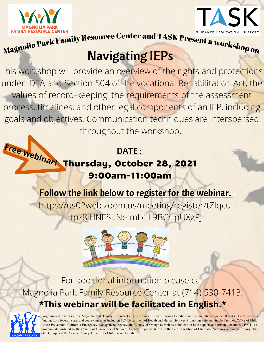



FAMILY RESOURCE CENTER<br>
Magnolia Park Family Resource Center and TASK Present a workshop on

# Navigating IEPs

This workshop will provide an overview of the rights and protections under IDEA and Section 504 of the vocational Rehabilitation Act, the values of record-keeping, the requirements of the assessment process, timelines, and other legal components of an IEP, including goals and objectives. Communication techniques are interspersed throughout the workshop.

### Free *webinar*! Thursdau. Octob Thursday, October 28, 2021 9:00am-11:00am

Follow the link below to register for the webinar.

https://us02web.zoom.us/meeting/register/tZIqcutpz8jHNESuNe-mLcIL9BCr-pUXgPJ



For additional information please call Magnolia Park Family Resource Center at (714) 530-7413. **\*This webinar will be facilitated in English.\***



Programs and services at the Magnolia Park Family Resource Center are funded in part through Families and Communities Together (FaCT). FaCT receives funding from federal, state, and county agencies including U.S. Department of Health and Human Services-Promoting Safe and Stable Families, Office of Child Abuse Prevention, California Emergency Management Agency, the County of Orange as well as volunteer, in-kind support and private donations. FaCT is a program administered by the County of Orange Social Services Agency, in partnership with the FaCT Coalition of Charitable Ventures of Orange County, The Olin Group, and the Orange County Alliance for Children and Families.